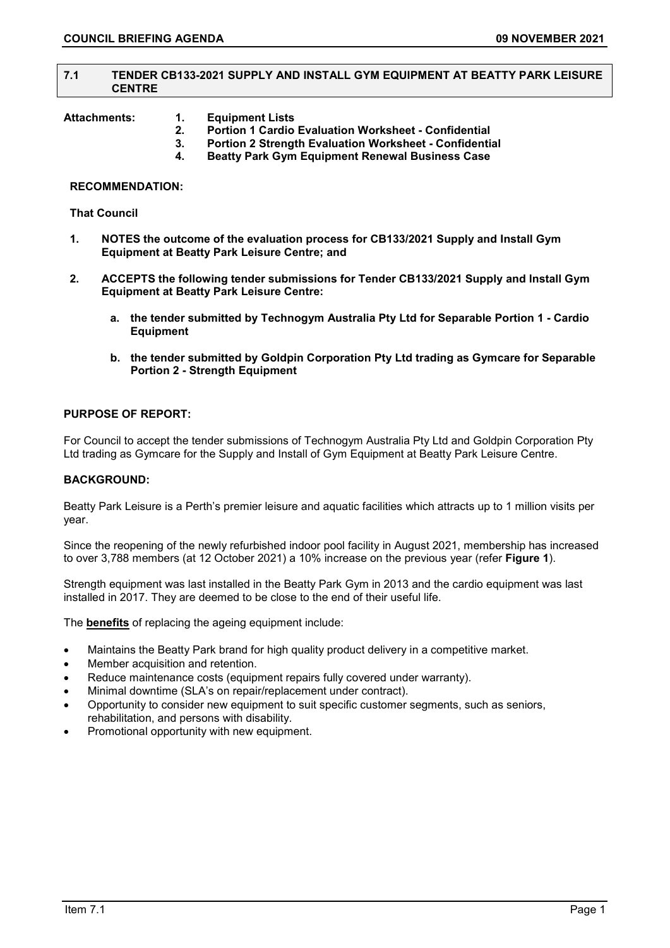# **7.1 TENDER CB133-2021 SUPPLY AND INSTALL GYM EQUIPMENT AT BEATTY PARK LEISURE CENTRE**

- **Attachments: 1. Equipment Lists** 
	- **2. Portion 1 Cardio Evaluation Worksheet - Confidential**
	- **3. Portion 2 Strength Evaluation Worksheet - Confidential**
	- **4. Beatty Park Gym Equipment Renewal Business Case**

# **RECOMMENDATION:**

# **That Council**

- **1. NOTES the outcome of the evaluation process for CB133/2021 Supply and Install Gym Equipment at Beatty Park Leisure Centre; and**
- **2. ACCEPTS the following tender submissions for Tender CB133/2021 Supply and Install Gym Equipment at Beatty Park Leisure Centre:**
	- **a. the tender submitted by Technogym Australia Pty Ltd for Separable Portion 1 - Cardio Equipment**
	- **b. the tender submitted by Goldpin Corporation Pty Ltd trading as Gymcare for Separable Portion 2 - Strength Equipment**

# **PURPOSE OF REPORT:**

For Council to accept the tender submissions of Technogym Australia Pty Ltd and Goldpin Corporation Pty Ltd trading as Gymcare for the Supply and Install of Gym Equipment at Beatty Park Leisure Centre.

# **BACKGROUND:**

Beatty Park Leisure is a Perth's premier leisure and aquatic facilities which attracts up to 1 million visits per year.

Since the reopening of the newly refurbished indoor pool facility in August 2021, membership has increased to over 3,788 members (at 12 October 2021) a 10% increase on the previous year (refer **Figure 1**).

Strength equipment was last installed in the Beatty Park Gym in 2013 and the cardio equipment was last installed in 2017. They are deemed to be close to the end of their useful life.

The **benefits** of replacing the ageing equipment include:

- Maintains the Beatty Park brand for high quality product delivery in a competitive market.
- Member acquisition and retention.
- Reduce maintenance costs (equipment repairs fully covered under warranty).
- Minimal downtime (SLA's on repair/replacement under contract).
- Opportunity to consider new equipment to suit specific customer segments, such as seniors, rehabilitation, and persons with disability.
- Promotional opportunity with new equipment.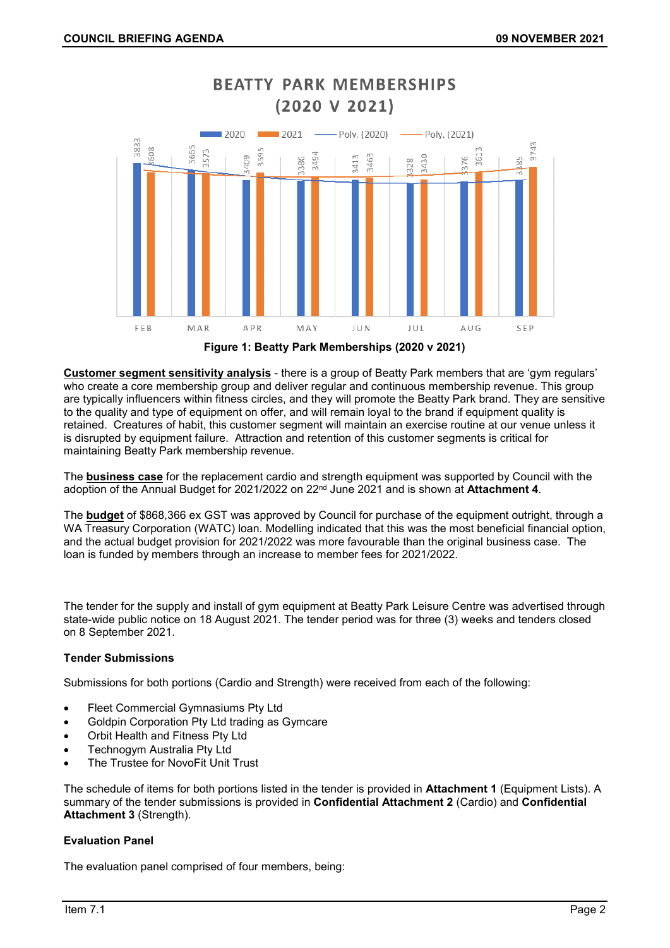

**BEATTY PARK MEMBERSHIPS** 

**Figure 1: Beatty Park Memberships (2020 v 2021)**

**Customer segment sensitivity analysis** - there is a group of Beatty Park members that are 'gym regulars' who create a core membership group and deliver regular and continuous membership revenue. This group are typically influencers within fitness circles, and they will promote the Beatty Park brand. They are sensitive to the quality and type of equipment on offer, and will remain loyal to the brand if equipment quality is retained. Creatures of habit, this customer segment will maintain an exercise routine at our venue unless it is disrupted by equipment failure. Attraction and retention of this customer segments is critical for maintaining Beatty Park membership revenue.

The **business case** for the replacement cardio and strength equipment was supported by Council with the adoption of the Annual Budget for 2021/2022 on 22nd June 2021 and is shown at **Attachment 4**.

The **budget** of \$868,366 ex GST was approved by Council for purchase of the equipment outright, through a WA Treasury Corporation (WATC) loan. Modelling indicated that this was the most beneficial financial option, and the actual budget provision for 2021/2022 was more favourable than the original business case. The loan is funded by members through an increase to member fees for 2021/2022.

The tender for the supply and install of gym equipment at Beatty Park Leisure Centre was advertised through state-wide public notice on 18 August 2021. The tender period was for three (3) weeks and tenders closed on 8 September 2021.

# **Tender Submissions**

Submissions for both portions (Cardio and Strength) were received from each of the following:

- Fleet Commercial Gymnasiums Pty Ltd
- Goldpin Corporation Pty Ltd trading as Gymcare
- Orbit Health and Fitness Pty Ltd
- Technogym Australia Pty Ltd
- The Trustee for NovoFit Unit Trust

The schedule of items for both portions listed in the tender is provided in **Attachment 1** (Equipment Lists). A summary of the tender submissions is provided in **Confidential Attachment 2** (Cardio) and **Confidential Attachment 3** (Strength).

# **Evaluation Panel**

The evaluation panel comprised of four members, being: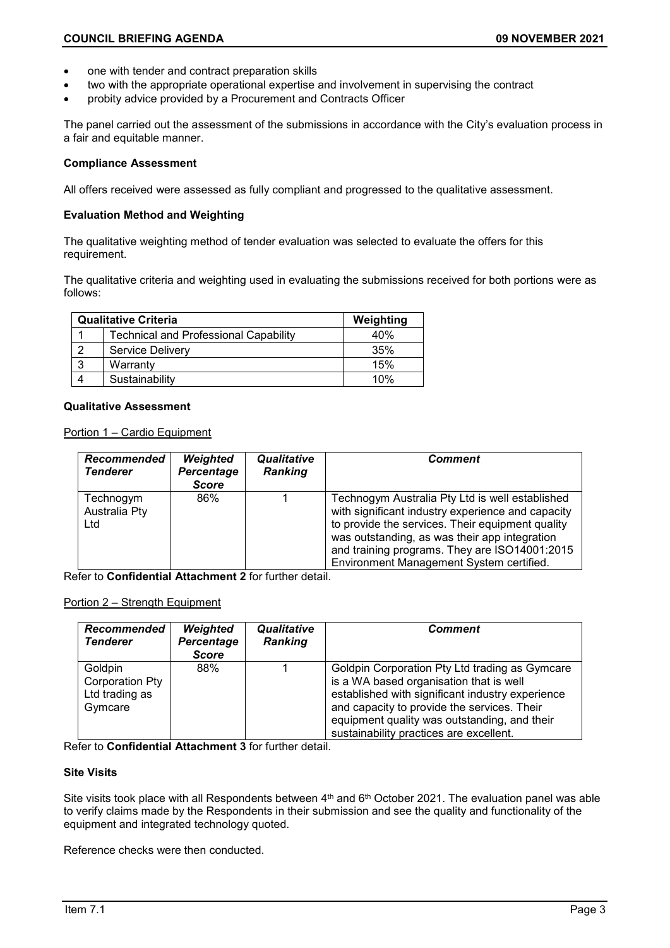- one with tender and contract preparation skills
- two with the appropriate operational expertise and involvement in supervising the contract
- probity advice provided by a Procurement and Contracts Officer

The panel carried out the assessment of the submissions in accordance with the City's evaluation process in a fair and equitable manner.

# **Compliance Assessment**

All offers received were assessed as fully compliant and progressed to the qualitative assessment.

# **Evaluation Method and Weighting**

The qualitative weighting method of tender evaluation was selected to evaluate the offers for this requirement.

The qualitative criteria and weighting used in evaluating the submissions received for both portions were as follows:

|   | <b>Qualitative Criteria</b>                  | Weighting |
|---|----------------------------------------------|-----------|
|   | <b>Technical and Professional Capability</b> | 40%       |
| റ | <b>Service Delivery</b>                      | 35%       |
| 3 | Warranty                                     | 15%       |
|   | Sustainability                               | 10%       |

# **Qualitative Assessment**

Portion 1 – Cardio Equipment

| Recommended<br><b>Tenderer</b>    | Weighted<br>Percentage<br><b>Score</b> | Qualitative<br><b>Ranking</b> | Comment                                                                                                                                                                                                                                                                                                |
|-----------------------------------|----------------------------------------|-------------------------------|--------------------------------------------------------------------------------------------------------------------------------------------------------------------------------------------------------------------------------------------------------------------------------------------------------|
| Technogym<br>Australia Pty<br>Ltd | 86%                                    |                               | Technogym Australia Pty Ltd is well established<br>with significant industry experience and capacity<br>to provide the services. Their equipment quality<br>was outstanding, as was their app integration<br>and training programs. They are ISO14001:2015<br>Environment Management System certified. |

Refer to **Confidential Attachment 2** for further detail.

# Portion 2 – Strength Equipment

| Recommended<br><b>Tenderer</b>                          | Weighted<br>Percentage<br><b>Score</b> | Qualitative<br><b>Ranking</b> | Comment                                                                                                                                                                                                                                                                                 |
|---------------------------------------------------------|----------------------------------------|-------------------------------|-----------------------------------------------------------------------------------------------------------------------------------------------------------------------------------------------------------------------------------------------------------------------------------------|
| Goldpin<br>Corporation Pty<br>Ltd trading as<br>Gymcare | 88%                                    |                               | Goldpin Corporation Pty Ltd trading as Gymcare<br>is a WA based organisation that is well<br>established with significant industry experience<br>and capacity to provide the services. Their<br>equipment quality was outstanding, and their<br>sustainability practices are excellent. |

Refer to **Confidential Attachment 3** for further detail.

# **Site Visits**

Site visits took place with all Respondents between 4<sup>th</sup> and 6<sup>th</sup> October 2021. The evaluation panel was able to verify claims made by the Respondents in their submission and see the quality and functionality of the equipment and integrated technology quoted.

Reference checks were then conducted.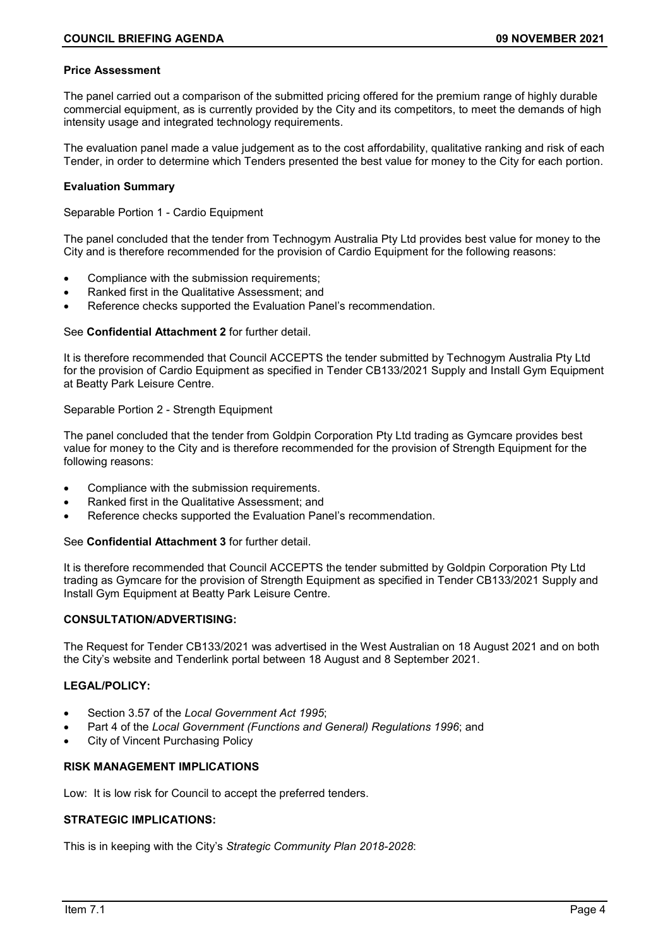# **Price Assessment**

The panel carried out a comparison of the submitted pricing offered for the premium range of highly durable commercial equipment, as is currently provided by the City and its competitors, to meet the demands of high intensity usage and integrated technology requirements.

The evaluation panel made a value judgement as to the cost affordability, qualitative ranking and risk of each Tender, in order to determine which Tenders presented the best value for money to the City for each portion.

# **Evaluation Summary**

Separable Portion 1 - Cardio Equipment

The panel concluded that the tender from Technogym Australia Pty Ltd provides best value for money to the City and is therefore recommended for the provision of Cardio Equipment for the following reasons:

- Compliance with the submission requirements;
- Ranked first in the Qualitative Assessment; and
- Reference checks supported the Evaluation Panel's recommendation.

# See **Confidential Attachment 2** for further detail.

It is therefore recommended that Council ACCEPTS the tender submitted by Technogym Australia Pty Ltd for the provision of Cardio Equipment as specified in Tender CB133/2021 Supply and Install Gym Equipment at Beatty Park Leisure Centre.

# Separable Portion 2 - Strength Equipment

The panel concluded that the tender from Goldpin Corporation Pty Ltd trading as Gymcare provides best value for money to the City and is therefore recommended for the provision of Strength Equipment for the following reasons:

- Compliance with the submission requirements.
- Ranked first in the Qualitative Assessment; and
- Reference checks supported the Evaluation Panel's recommendation.

# See **Confidential Attachment 3** for further detail.

It is therefore recommended that Council ACCEPTS the tender submitted by Goldpin Corporation Pty Ltd trading as Gymcare for the provision of Strength Equipment as specified in Tender CB133/2021 Supply and Install Gym Equipment at Beatty Park Leisure Centre.

# **CONSULTATION/ADVERTISING:**

The Request for Tender CB133/2021 was advertised in the West Australian on 18 August 2021 and on both the City's website and Tenderlink portal between 18 August and 8 September 2021.

# **LEGAL/POLICY:**

- Section 3.57 of the *Local Government Act 1995*;
- Part 4 of the *Local Government (Functions and General) Regulations 1996*; and
- City of Vincent Purchasing Policy

# **RISK MANAGEMENT IMPLICATIONS**

Low: It is low risk for Council to accept the preferred tenders.

# **STRATEGIC IMPLICATIONS:**

This is in keeping with the City's *Strategic Community Plan 2018-2028*: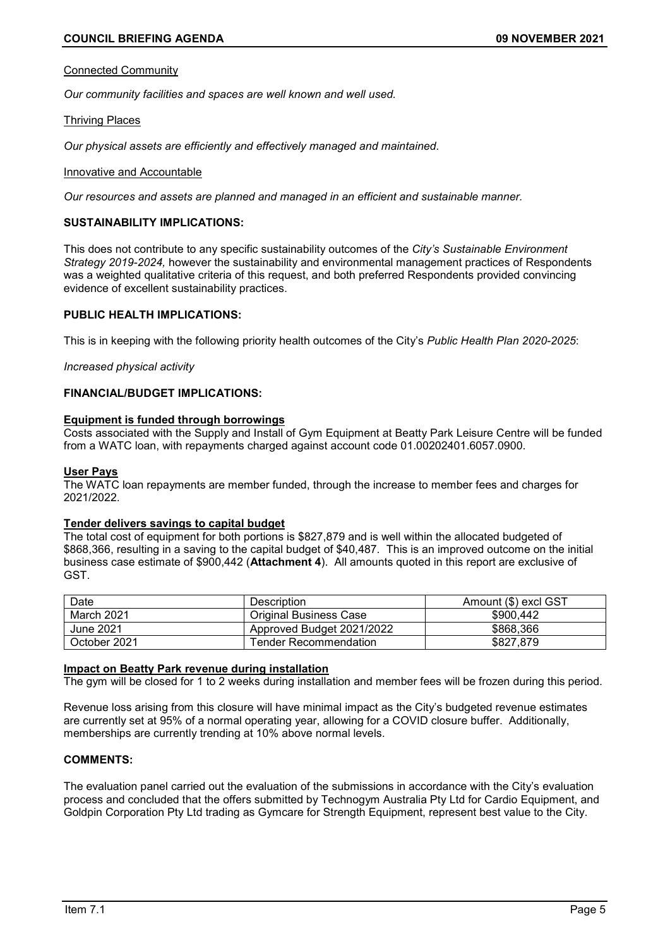#### Connected Community

*Our community facilities and spaces are well known and well used.*

#### Thriving Places

*Our physical assets are efficiently and effectively managed and maintained.*

#### Innovative and Accountable

*Our resources and assets are planned and managed in an efficient and sustainable manner.*

# **SUSTAINABILITY IMPLICATIONS:**

This does not contribute to any specific sustainability outcomes of the *City's Sustainable Environment Strategy 2019-2024,* however the sustainability and environmental management practices of Respondents was a weighted qualitative criteria of this request, and both preferred Respondents provided convincing evidence of excellent sustainability practices.

# **PUBLIC HEALTH IMPLICATIONS:**

This is in keeping with the following priority health outcomes of the City's *Public Health Plan 2020-2025*:

*Increased physical activity*

# **FINANCIAL/BUDGET IMPLICATIONS:**

#### **Equipment is funded through borrowings**

Costs associated with the Supply and Install of Gym Equipment at Beatty Park Leisure Centre will be funded from a WATC loan, with repayments charged against account code 01.00202401.6057.0900.

#### **User Pays**

The WATC loan repayments are member funded, through the increase to member fees and charges for 2021/2022.

#### **Tender delivers savings to capital budget**

The total cost of equipment for both portions is \$827,879 and is well within the allocated budgeted of \$868,366, resulting in a saving to the capital budget of \$40,487. This is an improved outcome on the initial business case estimate of \$900,442 (**Attachment 4**). All amounts quoted in this report are exclusive of GST.

| Date         | Description                   | Amount (\$) excl GST |
|--------------|-------------------------------|----------------------|
| March 2021   | <b>Original Business Case</b> | \$900.442            |
| June 2021    | Approved Budget 2021/2022     | \$868,366            |
| October 2021 | Tender Recommendation_        | \$827.879            |

#### **Impact on Beatty Park revenue during installation**

The gym will be closed for 1 to 2 weeks during installation and member fees will be frozen during this period.

Revenue loss arising from this closure will have minimal impact as the City's budgeted revenue estimates are currently set at 95% of a normal operating year, allowing for a COVID closure buffer. Additionally, memberships are currently trending at 10% above normal levels.

# **COMMENTS:**

The evaluation panel carried out the evaluation of the submissions in accordance with the City's evaluation process and concluded that the offers submitted by Technogym Australia Pty Ltd for Cardio Equipment, and Goldpin Corporation Pty Ltd trading as Gymcare for Strength Equipment, represent best value to the City.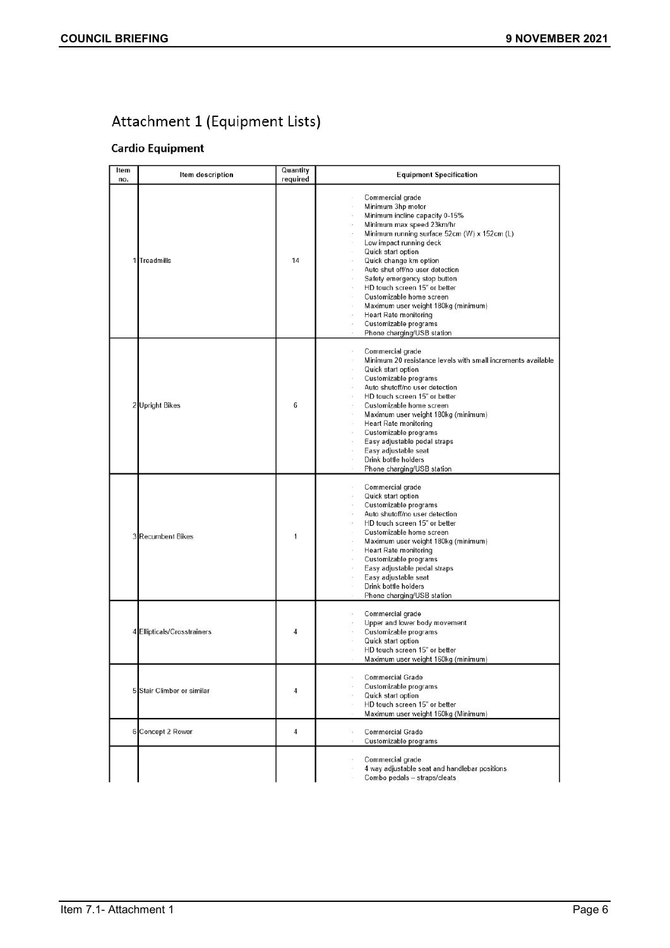# Attachment 1 (Equipment Lists)

# **Cardio Equipment**

| Item<br>no. | Item description           | Quantity<br>required | <b>Equipment Specification</b>                                                                                                                                                                                                                                                                                                                                                                                                                                                                |
|-------------|----------------------------|----------------------|-----------------------------------------------------------------------------------------------------------------------------------------------------------------------------------------------------------------------------------------------------------------------------------------------------------------------------------------------------------------------------------------------------------------------------------------------------------------------------------------------|
|             | 1 Treadmills               | 14                   | Commercial grade<br>Minimum 3hp motor<br>Minimum incline capacity 0-15%<br>Minimum max speed 23km/hr<br>Minimum running surface 52cm (W) x 152cm (L)<br>Low impact running deck<br>Quick start option<br>Quick change km option<br>Auto shut off/no user detection<br>Safety emergency stop button<br>HD touch screen 15" or better<br>Customizable home screen<br>Maximum user weight 180kg (minimum)<br><b>Heart Rate monitoring</b><br>Customizable programs<br>Phone charging/USB station |
| 2           | <b>Upright Bikes</b>       | 6                    | Commercial grade<br>Minimum 20 resistance levels with small increments available<br>Quick start option<br>Customizable programs<br>Auto shutoff/no user detection<br>HD touch screen 15" or better<br>Customizable home screen<br>Maximum user weight 180kg (minimum)<br><b>Heart Rate monitoring</b><br>Customizable programs<br>Easy adjustable pedal straps<br>Easy adjustable seat<br>Drink bottle holders<br>Phone charging/USB station                                                  |
|             | 3 Recumbent Bikes          | 1                    | Commercial grade<br>Quick start option<br>Customizable programs<br>Auto shutoff/no user detection<br>HD touch screen 15" or better<br>Customizable home screen<br>Maximum user weight 180kg (minimum)<br><b>Heart Rate monitoring</b><br>Customizable programs<br>Easy adjustable pedal straps<br>Easy adjustable seat<br>Drink bottle holders<br>Phone charging/USB station                                                                                                                  |
| 4           | Ellipticals/Crosstrainers  | 4                    | Commercial grade<br>Upper and lower body movement<br>Customizable programs<br>Quick start option<br>HD touch screen 15" or better<br>Maximum user weight 160kg (minimum)                                                                                                                                                                                                                                                                                                                      |
|             | 5 Stair Climber or similar | 4                    | Commercial Grade<br>Customizable programs<br>Quick start option<br>HD touch screen 15" or better<br>Maximum user weight 160kg (Minimum)                                                                                                                                                                                                                                                                                                                                                       |
| 6           | Concept 2 Rower            | 4                    | Commercial Grade<br>ł.<br>Customizable programs                                                                                                                                                                                                                                                                                                                                                                                                                                               |
|             |                            |                      | Commercial grade<br>4 way adjustable seat and handlebar positions<br>Combo pedals - straps/cleats                                                                                                                                                                                                                                                                                                                                                                                             |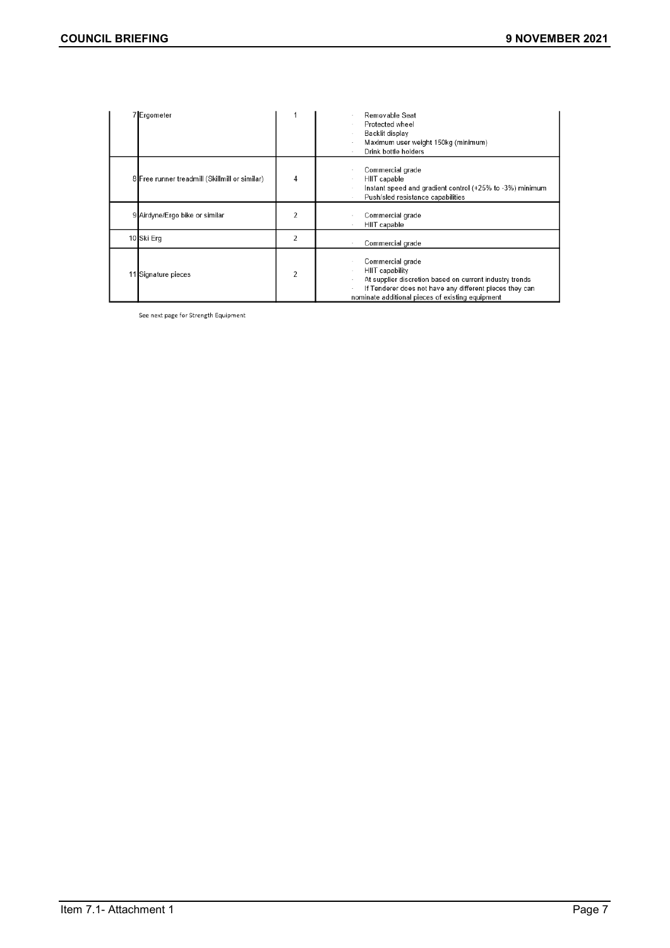| 7 Ergometer                                    |                | Removable Seat<br>Protected wheel<br>Backlit display<br>Maximum user weight 150kg (minimum)<br>Drink bottle holders                                                                                           |
|------------------------------------------------|----------------|---------------------------------------------------------------------------------------------------------------------------------------------------------------------------------------------------------------|
| 8 Free runner treadmill (Skillmill or similar) | 4              | Commercial grade<br>HIIT capable<br>Instant speed and gradient control (+25% to -3%) minimum<br>Push/sled resistance capabilities                                                                             |
| 9 Airdyne/Ergo bike or similar                 | 2              | Commercial grade<br>HIIT capable                                                                                                                                                                              |
| 10 Ski Erg                                     | 2              | Commercial grade                                                                                                                                                                                              |
| 11 Signature pieces                            | $\overline{c}$ | Commercial grade<br>HIIT capability<br>At supplier discretion based on current industry trends<br>If Tenderer does not have any different pieces they can<br>nominate additional pieces of existing equipment |

See next page for Strength Equipment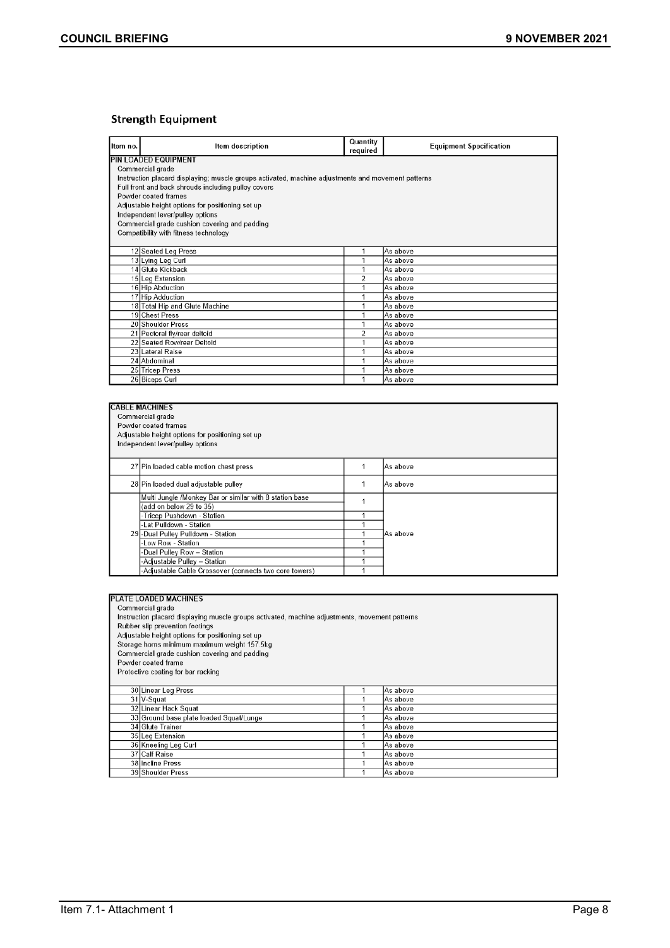# **Strength Equipment**

| Item no. | Item description                                                                                   | Quantity<br>required | <b>Equipment Specification</b> |  |  |
|----------|----------------------------------------------------------------------------------------------------|----------------------|--------------------------------|--|--|
|          | <b>PIN LOADED EQUIPMENT</b>                                                                        |                      |                                |  |  |
|          | Commercial grade                                                                                   |                      |                                |  |  |
|          | Instruction placard displaying; muscle groups activated, machine adjustments and movement patterns |                      |                                |  |  |
|          | Full front and back shrouds including pulley covers                                                |                      |                                |  |  |
|          | Powder coated frames                                                                               |                      |                                |  |  |
|          | Adjustable height options for positioning set up                                                   |                      |                                |  |  |
|          | Independent lever/pulley options                                                                   |                      |                                |  |  |
|          | Commercial grade cushion covering and padding                                                      |                      |                                |  |  |
|          | Compatibility with fitness technology                                                              |                      |                                |  |  |
|          |                                                                                                    |                      |                                |  |  |
|          | 12 Seated Leg Press                                                                                | 1                    | As above                       |  |  |
|          | 13 Lying Leg Curl                                                                                  | 1                    | As above                       |  |  |
|          | 14 Glute Kickback                                                                                  |                      | As above                       |  |  |
|          | 15 Leg Extension                                                                                   | $\overline{2}$       | As above                       |  |  |
|          | 16 Hip Abduction                                                                                   |                      | As above                       |  |  |
|          | 17 Hip Adduction                                                                                   |                      | As above                       |  |  |
|          | 18 Total Hip and Glute Machine                                                                     |                      | As above                       |  |  |
|          | 19 Chest Press                                                                                     |                      | As above                       |  |  |
|          | 20 Shoulder Press                                                                                  | 1                    | As above                       |  |  |
|          | 21 Pectoral fly/rear deltoid                                                                       | $\overline{2}$       | As above                       |  |  |
|          | 22 Seated Row/rear Deltoid                                                                         |                      | As above                       |  |  |
|          | 23 Lateral Raise                                                                                   | 1                    | As above                       |  |  |
|          | 24 Abdominal                                                                                       | 1                    | As above                       |  |  |
|          | 25 Tricep Press                                                                                    |                      | As above                       |  |  |
|          | 26 Biceps Curl                                                                                     |                      | As above                       |  |  |

|  | <b>CABLE MACHINES</b>                                   |  |          |  |
|--|---------------------------------------------------------|--|----------|--|
|  | Commercial grade                                        |  |          |  |
|  | Powder coated frames                                    |  |          |  |
|  | Adjustable height options for positioning set up        |  |          |  |
|  | Independent lever/pulley options                        |  |          |  |
|  |                                                         |  |          |  |
|  | 27 Pin loaded cable motion chest press                  |  | As above |  |
|  | 28 Pin loaded dual adjustable pulley                    |  | As above |  |
|  | Multi Jungle /Monkey Bar or similar with 8 station base |  |          |  |
|  | (add on below 29 to 35)                                 |  |          |  |
|  | -Tricep Pushdown - Station                              |  |          |  |
|  | -Lat Pulldown - Station                                 |  |          |  |
|  | 29 - Dual Pulley Pulldown - Station                     |  | As above |  |
|  | Low Row - Station                                       |  |          |  |
|  | -Dual Pulley Row – Station                              |  |          |  |
|  | -Adjustable Pulley - Station                            |  |          |  |
|  | -Adjustable Cable Crossover (connects two core towers)  |  |          |  |

|                                    | <b>PLATE LOADED MACHINES</b>                                                                   |  |          |  |  |
|------------------------------------|------------------------------------------------------------------------------------------------|--|----------|--|--|
|                                    | Commercial grade                                                                               |  |          |  |  |
|                                    | Instruction placard displaying muscle groups activated, machine adjustments, movement patterns |  |          |  |  |
|                                    | Rubber slip prevention footings                                                                |  |          |  |  |
|                                    | Adjustable height options for positioning set up                                               |  |          |  |  |
|                                    | Storage horns minimum maximum weight 157.5kg                                                   |  |          |  |  |
|                                    | Commercial grade cushion covering and padding                                                  |  |          |  |  |
|                                    | Powder coated frame                                                                            |  |          |  |  |
| Protective coating for bar racking |                                                                                                |  |          |  |  |
|                                    |                                                                                                |  |          |  |  |
|                                    | 30 Linear Leg Press                                                                            |  | As above |  |  |
|                                    | 31 V-Squat                                                                                     |  | As above |  |  |
|                                    | 32 Linear Hack Squat                                                                           |  | As above |  |  |
|                                    | 33 Ground base plate loaded Squat/Lunge                                                        |  | As above |  |  |
|                                    | 34 Glute Trainer                                                                               |  | As above |  |  |
|                                    | 35 Leg Extension                                                                               |  | As above |  |  |
|                                    | 36 Kneeling Leg Curl                                                                           |  | As above |  |  |
|                                    | 37 Calf Raise                                                                                  |  | As above |  |  |
|                                    | 38 Incline Press                                                                               |  | As above |  |  |
|                                    | 39 Shoulder Press                                                                              |  | As above |  |  |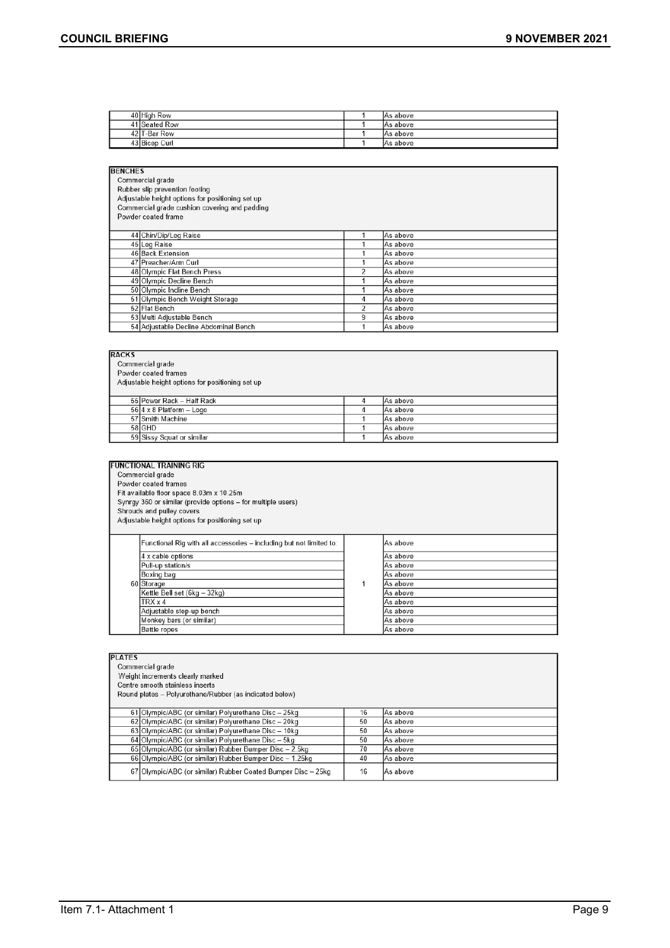| 40 High Row   | IAs above |
|---------------|-----------|
| 41 Seated Row | IAs above |
| 42 T-Bar Row  | IAs above |
| 43 Bicep Curl | IAs above |

| <b>BENCHES</b>                                   |                |          |  |  |
|--------------------------------------------------|----------------|----------|--|--|
| Commercial grade                                 |                |          |  |  |
| Rubber slip prevention footing                   |                |          |  |  |
| Adjustable height options for positioning set up |                |          |  |  |
| Commercial grade cushion covering and padding    |                |          |  |  |
| Powder coated frame                              |                |          |  |  |
|                                                  |                |          |  |  |
| 44 Chin/Dip/Leg Raise                            |                | As above |  |  |
| 45 Leg Raise                                     |                | As above |  |  |
| 46 Back Extension                                |                | As above |  |  |
| 47 Preacher/Arm Curl                             |                | As above |  |  |
| 48 Olympic Flat Bench Press                      | $\overline{a}$ | As above |  |  |
| 49 Olympic Decline Bench                         |                | As above |  |  |
| 50 Olympic Incline Bench                         |                | As above |  |  |
| 51 Olympic Bench Weight Storage                  | 4              | As above |  |  |
| 52 Flat Bench                                    | $\overline{2}$ | As above |  |  |
| 53 Multi Adjustable Bench                        | 9              | As above |  |  |
| 54 Adjustable Decline Abdominal Bench            |                | As above |  |  |

| <b>RACKS</b><br>Commercial grade<br>Powder coated frames<br>Adjustable height options for positioning set up |                                 |  |          |
|--------------------------------------------------------------------------------------------------------------|---------------------------------|--|----------|
|                                                                                                              | 55 Power Rack - Half Rack       |  | As above |
|                                                                                                              | $56 4 \times 8$ Platform - Logo |  | As above |
|                                                                                                              | 57 Smith Machine                |  | As above |
|                                                                                                              | 58 GHD                          |  | As above |
|                                                                                                              | 59 Sissy Squat or similar       |  | As above |

| <b>FUNCTIONAL TRAINING RIG</b>                                      |          |          |  |  |  |  |  |
|---------------------------------------------------------------------|----------|----------|--|--|--|--|--|
| Commercial grade                                                    |          |          |  |  |  |  |  |
| Powder coated frames                                                |          |          |  |  |  |  |  |
| Fit available floor space 8.03m x 10.25m                            |          |          |  |  |  |  |  |
| Synrgy 360 or similar (provide options - for multiple users)        |          |          |  |  |  |  |  |
| Shrouds and pulley covers                                           |          |          |  |  |  |  |  |
| Adjustable height options for positioning set up                    |          |          |  |  |  |  |  |
|                                                                     |          |          |  |  |  |  |  |
| Functional Rig with all accessories – including but not limited to: |          | As above |  |  |  |  |  |
| 4 x cable options                                                   |          | As above |  |  |  |  |  |
| Pull-up station/s                                                   |          | As above |  |  |  |  |  |
| Boxing bag                                                          |          | As above |  |  |  |  |  |
| 60 Storage                                                          |          | As above |  |  |  |  |  |
| Kettle Bell set (6kg - 32kg)                                        | As above |          |  |  |  |  |  |
| $TRX \times 4$                                                      |          | As above |  |  |  |  |  |
| Adjustable step-up bench                                            |          | As above |  |  |  |  |  |
| Monkey bars (or similar)                                            |          | As above |  |  |  |  |  |
| <b>Battle ropes</b>                                                 |          | As above |  |  |  |  |  |

| <b>PLATES</b>                                                            |                                                                         |           |  |  |  |  |  |
|--------------------------------------------------------------------------|-------------------------------------------------------------------------|-----------|--|--|--|--|--|
| Commercial grade                                                         |                                                                         |           |  |  |  |  |  |
| Weight increments clearly marked                                         |                                                                         |           |  |  |  |  |  |
| Centre smooth stainless inserts                                          |                                                                         |           |  |  |  |  |  |
| Round plates - Polyurethane/Rubber (as indicated below)                  |                                                                         |           |  |  |  |  |  |
|                                                                          |                                                                         |           |  |  |  |  |  |
|                                                                          | 61 Olympic/ABC (or similar) Polyurethane Disc - 25kg<br>16<br>lAs above |           |  |  |  |  |  |
| 62 Olympic/ABC (or similar) Polyurethane Disc - 20kg                     | 50<br>As above                                                          |           |  |  |  |  |  |
| 63 Olympic/ABC (or similar) Polyurethane Disc - 10kg<br>50<br>lAs above  |                                                                         |           |  |  |  |  |  |
| 64 Olympic/ABC (or similar) Polyurethane Disc - 5kg<br>50<br>lAs above   |                                                                         |           |  |  |  |  |  |
| 65 Olympic/ABC (or similar) Rubber Bumper Disc - 2.5kg<br>70<br>As above |                                                                         |           |  |  |  |  |  |
| 66 Olympic/ABC (or similar) Rubber Bumper Disc - 1.25kg                  | 40                                                                      | lAs above |  |  |  |  |  |
| 67 Olympic/ABC (or similar) Rubber Coated Bumper Disc - 25kg             | 16                                                                      | lAs above |  |  |  |  |  |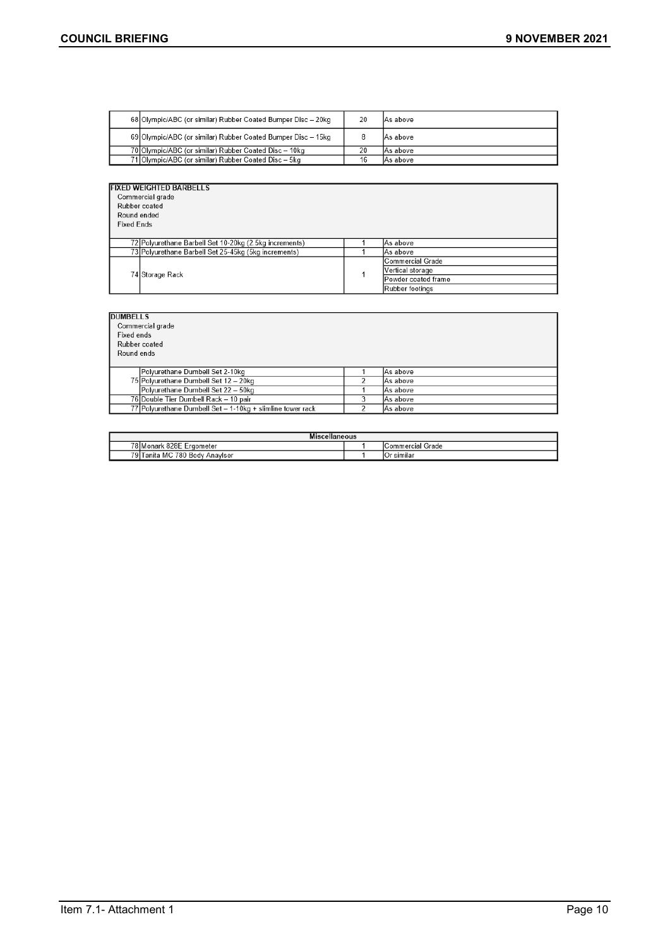| 68 Olympic/ABC (or similar) Rubber Coated Bumper Disc - 20kg | 20 | IAs above |
|--------------------------------------------------------------|----|-----------|
| 69 Olympic/ABC (or similar) Rubber Coated Bumper Disc - 15kg |    | IAs above |
| 70 Olympic/ABC (or similar) Rubber Coated Disc - 10kg        | 20 | IAs above |
| 71 Olympic/ABC (or similar) Rubber Coated Disc - 5kg         | 16 | lAs above |

| <b>FIXED WEIGHTED BARBELLS</b> |
|--------------------------------|
|                                |
| $O$ consequented average       |

| Round ended<br><b>Fixed Ends</b> | Rubber coated                                                      |  |                     |  |  |  |
|----------------------------------|--------------------------------------------------------------------|--|---------------------|--|--|--|
|                                  | 72 Polyurethane Barbell Set 10-20kg (2.5kg increments)<br>As above |  |                     |  |  |  |
|                                  | 73 Polyurethane Barbell Set 25-45kg (5kg increments)               |  | lAs above           |  |  |  |
|                                  | 74 Storage Rack                                                    |  | Commercial Grade    |  |  |  |
|                                  |                                                                    |  | Vertical storage    |  |  |  |
|                                  |                                                                    |  | Powder coated frame |  |  |  |
|                                  |                                                                    |  | Rubber footings     |  |  |  |

| <b>DUMBELLS</b>                                            |   |          |
|------------------------------------------------------------|---|----------|
| Commercial grade                                           |   |          |
| Fixed ends                                                 |   |          |
| Rubber coated                                              |   |          |
| Round ends                                                 |   |          |
|                                                            |   |          |
| Polyurethane Dumbell Set 2-10kg                            |   | As above |
| 75 Polyurethane Dumbell Set 12 - 20kg                      |   | As above |
| Polyurethane Dumbell Set 22 - 50kg                         |   | As above |
| 76 Double Tier Dumbell Rack - 10 pair                      | 3 | As above |
| 77 Polyurethane Dumbell Set - 1-10kg + slimline tower rack |   | As above |

| .<br>Miscellaneous                                               |  |                |  |  |  |
|------------------------------------------------------------------|--|----------------|--|--|--|
| 78 Monark<br>$\sim$<br>828E<br>Grade<br>Ergometer<br>ICommercial |  |                |  |  |  |
| 79 T<br>780 Body<br>MC.<br>' I anita<br>Anaviser                 |  | similai<br>υ۰. |  |  |  |